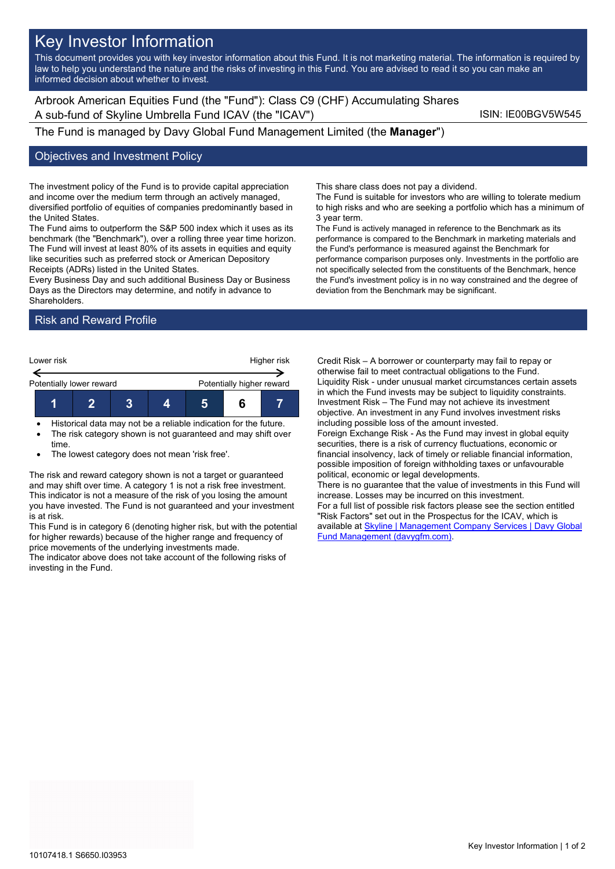# Key Investor Information

This document provides you with key investor information about this Fund. It is not marketing material. The information is required by law to help you understand the nature and the risks of investing in this Fund. You are advised to read it so you can make an informed decision about whether to invest.

Arbrook American Equities Fund (the "Fund"): Class C9 (CHF) Accumulating Shares A sub-fund of Skyline Umbrella Fund ICAV (the "ICAV") Sub-fund iSIN: IE00BGV5W545

The Fund is managed by Davy Global Fund Management Limited (the **Manager**")

### Objectives and Investment Policy

The investment policy of the Fund is to provide capital appreciation and income over the medium term through an actively managed, diversified portfolio of equities of companies predominantly based in the United States.

The Fund aims to outperform the S&P 500 index which it uses as its benchmark (the "Benchmark"), over a rolling three year time horizon. The Fund will invest at least 80% of its assets in equities and equity like securities such as preferred stock or American Depository Receipts (ADRs) listed in the United States.

Every Business Day and such additional Business Day or Business Days as the Directors may determine, and notify in advance to Shareholders.

## Risk and Reward Profile



- Historical data may not be a reliable indication for the future. The risk category shown is not guaranteed and may shift over
- time.

The lowest category does not mean 'risk free'.

The risk and reward category shown is not a target or guaranteed and may shift over time. A category 1 is not a risk free investment. This indicator is not a measure of the risk of you losing the amount you have invested. The Fund is not guaranteed and your investment is at risk.

This Fund is in category 6 (denoting higher risk, but with the potential for higher rewards) because of the higher range and frequency of price movements of the underlying investments made.

The indicator above does not take account of the following risks of investing in the Fund.

This share class does not pay a dividend.

The Fund is suitable for investors who are willing to tolerate medium to high risks and who are seeking a portfolio which has a minimum of 3 year term.

The Fund is actively managed in reference to the Benchmark as its performance is compared to the Benchmark in marketing materials and the Fund's performance is measured against the Benchmark for performance comparison purposes only. Investments in the portfolio are not specifically selected from the constituents of the Benchmark, hence the Fund's investment policy is in no way constrained and the degree of deviation from the Benchmark may be significant.

Credit Risk – A borrower or counterparty may fail to repay or otherwise fail to meet contractual obligations to the Fund. Liquidity Risk - under unusual market circumstances certain assets in which the Fund invests may be subject to liquidity constraints. Investment Risk – The Fund may not achieve its investment objective. An investment in any Fund involves investment risks including possible loss of the amount invested. Foreign Exchange Risk - As the Fund may invest in global equity securities, there is a risk of currency fluctuations, economic or financial insolvency, lack of timely or reliable financial information, possible imposition of foreign withholding taxes or unfavourable political, economic or legal developments. There is no guarantee that the value of investments in this Fund will increase. Losses may be incurred on this investment. For a full list of possible risk factors please see the section entitled "Risk Factors" set out in the Prospectus for the ICAV, which is available a[t Skyline | Management Company Services | Davy Global](https://www.davygfm.com/funds-factsheets/management-company-services/ireland/skyline.html)  [Fund Management \(davygfm.com\).](https://www.davygfm.com/funds-factsheets/management-company-services/ireland/skyline.html)